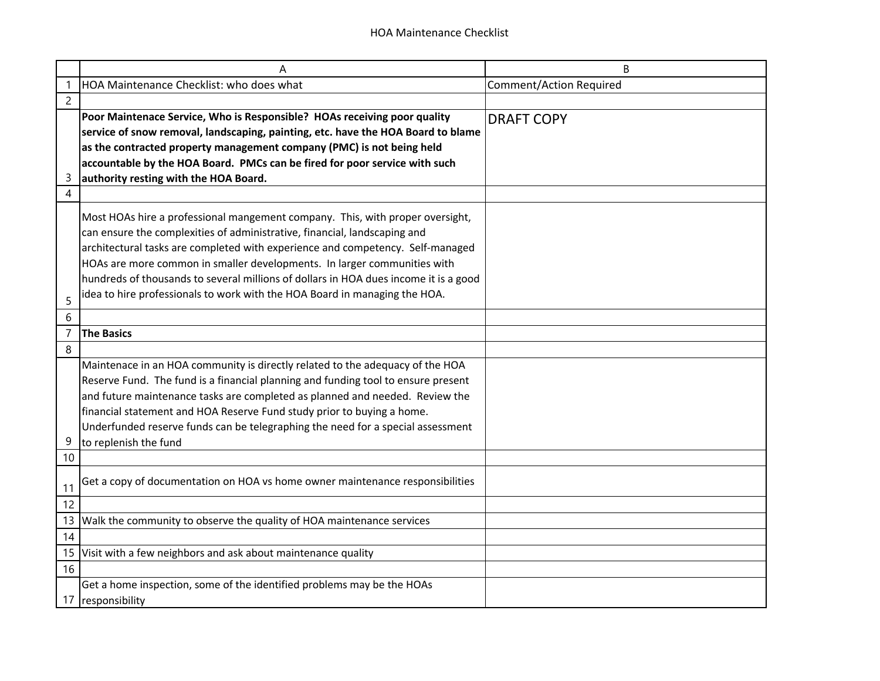|                | A                                                                                    | B                              |
|----------------|--------------------------------------------------------------------------------------|--------------------------------|
|                | HOA Maintenance Checklist: who does what                                             | <b>Comment/Action Required</b> |
| $\overline{c}$ |                                                                                      |                                |
|                | Poor Maintenace Service, Who is Responsible? HOAs receiving poor quality             | <b>DRAFT COPY</b>              |
|                | service of snow removal, landscaping, painting, etc. have the HOA Board to blame     |                                |
|                | as the contracted property management company (PMC) is not being held                |                                |
|                | accountable by the HOA Board. PMCs can be fired for poor service with such           |                                |
| 3              | authority resting with the HOA Board.                                                |                                |
| 4              |                                                                                      |                                |
|                | Most HOAs hire a professional mangement company. This, with proper oversight,        |                                |
|                | can ensure the complexities of administrative, financial, landscaping and            |                                |
|                | architectural tasks are completed with experience and competency. Self-managed       |                                |
|                | HOAs are more common in smaller developments. In larger communities with             |                                |
|                | hundreds of thousands to several millions of dollars in HOA dues income it is a good |                                |
|                | idea to hire professionals to work with the HOA Board in managing the HOA.           |                                |
| 5              |                                                                                      |                                |
| 6              |                                                                                      |                                |
| $\overline{7}$ | <b>The Basics</b>                                                                    |                                |
| 8              |                                                                                      |                                |
|                | Maintenace in an HOA community is directly related to the adequacy of the HOA        |                                |
|                | Reserve Fund. The fund is a financial planning and funding tool to ensure present    |                                |
|                | and future maintenance tasks are completed as planned and needed. Review the         |                                |
|                | financial statement and HOA Reserve Fund study prior to buying a home.               |                                |
|                | Underfunded reserve funds can be telegraphing the need for a special assessment      |                                |
| 9              | to replenish the fund                                                                |                                |
| 10             |                                                                                      |                                |
| 11             | Get a copy of documentation on HOA vs home owner maintenance responsibilities        |                                |
| 12             |                                                                                      |                                |
| 13             | Walk the community to observe the quality of HOA maintenance services                |                                |
| 14             |                                                                                      |                                |
| 15             | Visit with a few neighbors and ask about maintenance quality                         |                                |
| 16             |                                                                                      |                                |
|                | Get a home inspection, some of the identified problems may be the HOAs               |                                |
|                | 17 responsibility                                                                    |                                |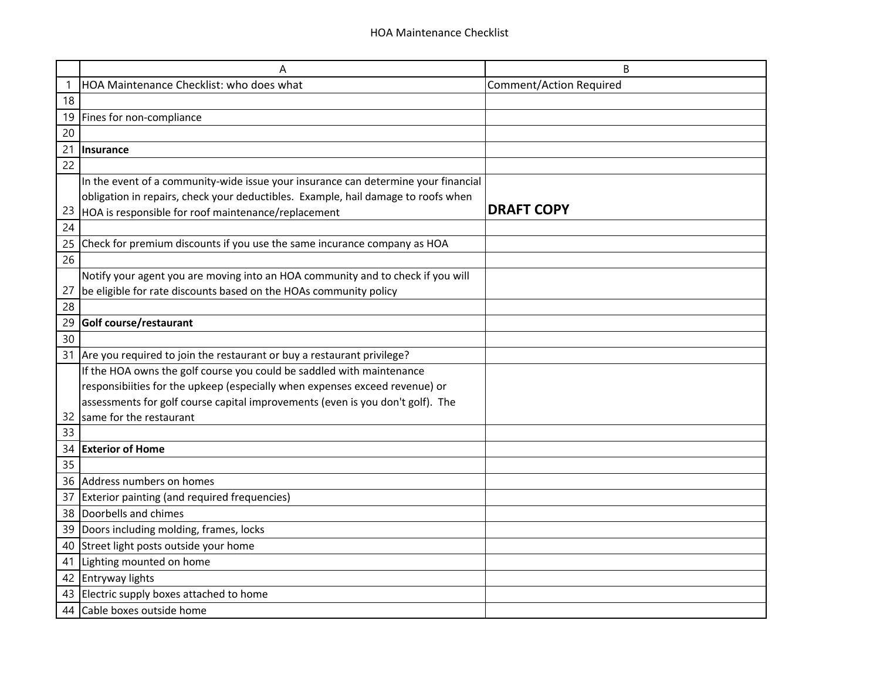|    | A                                                                                  | B                              |
|----|------------------------------------------------------------------------------------|--------------------------------|
| -1 | HOA Maintenance Checklist: who does what                                           | <b>Comment/Action Required</b> |
| 18 |                                                                                    |                                |
| 19 | Fines for non-compliance                                                           |                                |
| 20 |                                                                                    |                                |
| 21 | <b>Insurance</b>                                                                   |                                |
| 22 |                                                                                    |                                |
|    | In the event of a community-wide issue your insurance can determine your financial |                                |
|    | obligation in repairs, check your deductibles. Example, hail damage to roofs when  |                                |
| 23 | HOA is responsible for roof maintenance/replacement                                | <b>DRAFT COPY</b>              |
| 24 |                                                                                    |                                |
| 25 | Check for premium discounts if you use the same incurance company as HOA           |                                |
| 26 |                                                                                    |                                |
|    | Notify your agent you are moving into an HOA community and to check if you will    |                                |
| 27 | be eligible for rate discounts based on the HOAs community policy                  |                                |
| 28 |                                                                                    |                                |
| 29 | Golf course/restaurant                                                             |                                |
| 30 |                                                                                    |                                |
| 31 | Are you required to join the restaurant or buy a restaurant privilege?             |                                |
|    | If the HOA owns the golf course you could be saddled with maintenance              |                                |
|    | responsibiities for the upkeep (especially when expenses exceed revenue) or        |                                |
|    | assessments for golf course capital improvements (even is you don't golf). The     |                                |
| 32 | same for the restaurant                                                            |                                |
| 33 |                                                                                    |                                |
| 34 | <b>Exterior of Home</b>                                                            |                                |
| 35 |                                                                                    |                                |
| 36 | Address numbers on homes                                                           |                                |
| 37 | Exterior painting (and required frequencies)                                       |                                |
| 38 | Doorbells and chimes                                                               |                                |
| 39 | Doors including molding, frames, locks                                             |                                |
| 40 | Street light posts outside your home                                               |                                |
| 41 | Lighting mounted on home                                                           |                                |
| 42 | Entryway lights                                                                    |                                |
| 43 | Electric supply boxes attached to home                                             |                                |
| 44 | Cable boxes outside home                                                           |                                |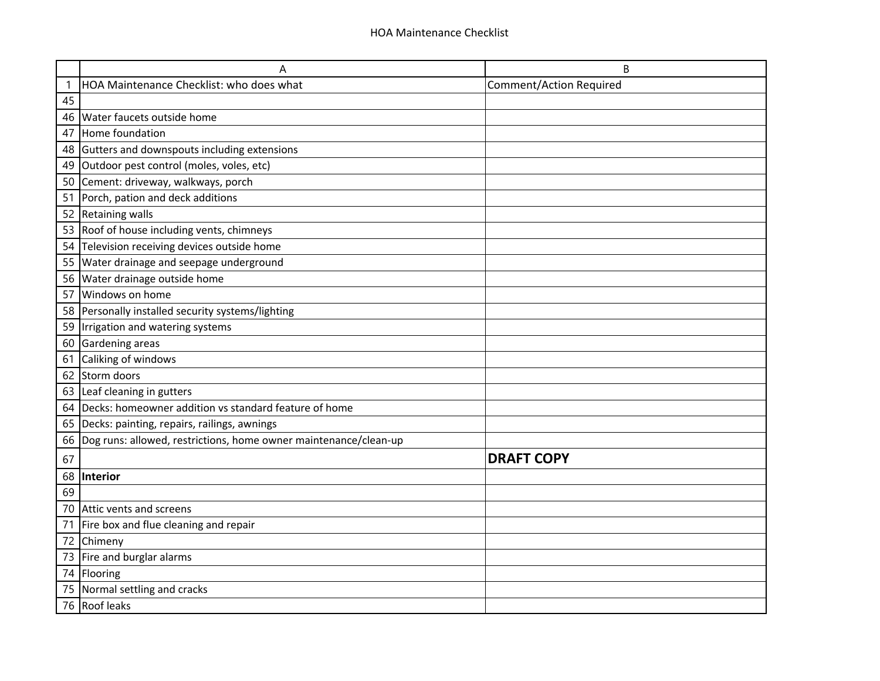|    | Α                                                                | B                              |
|----|------------------------------------------------------------------|--------------------------------|
|    | HOA Maintenance Checklist: who does what                         | <b>Comment/Action Required</b> |
| 45 |                                                                  |                                |
| 46 | Water faucets outside home                                       |                                |
| 47 | Home foundation                                                  |                                |
| 48 | Gutters and downspouts including extensions                      |                                |
| 49 | Outdoor pest control (moles, voles, etc)                         |                                |
| 50 | Cement: driveway, walkways, porch                                |                                |
| 51 | Porch, pation and deck additions                                 |                                |
| 52 | Retaining walls                                                  |                                |
| 53 | Roof of house including vents, chimneys                          |                                |
| 54 | Television receiving devices outside home                        |                                |
| 55 | Water drainage and seepage underground                           |                                |
| 56 | Water drainage outside home                                      |                                |
| 57 | Windows on home                                                  |                                |
| 58 | Personally installed security systems/lighting                   |                                |
| 59 | Irrigation and watering systems                                  |                                |
| 60 | Gardening areas                                                  |                                |
| 61 | Caliking of windows                                              |                                |
| 62 | Storm doors                                                      |                                |
| 63 | Leaf cleaning in gutters                                         |                                |
| 64 | Decks: homeowner addition vs standard feature of home            |                                |
| 65 | Decks: painting, repairs, railings, awnings                      |                                |
| 66 | Dog runs: allowed, restrictions, home owner maintenance/clean-up |                                |
| 67 |                                                                  | <b>DRAFT COPY</b>              |
| 68 | Interior                                                         |                                |
| 69 |                                                                  |                                |
| 70 | Attic vents and screens                                          |                                |
| 71 | Fire box and flue cleaning and repair                            |                                |
| 72 | Chimeny                                                          |                                |
| 73 | Fire and burglar alarms                                          |                                |
| 74 | Flooring                                                         |                                |
| 75 | Normal settling and cracks                                       |                                |
|    | 76 Roof leaks                                                    |                                |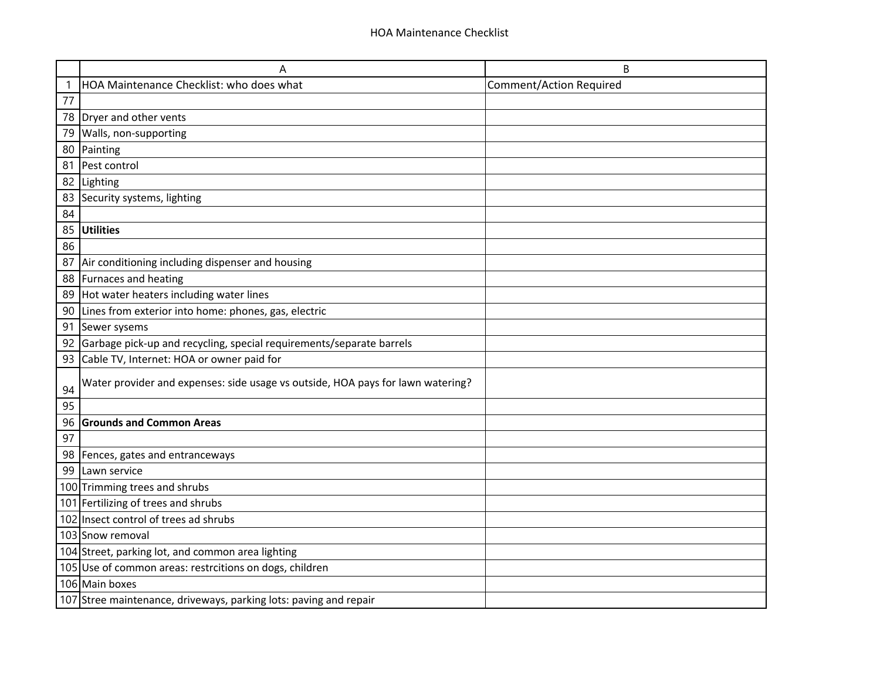|    | Α                                                                               | B                              |
|----|---------------------------------------------------------------------------------|--------------------------------|
| 1  | HOA Maintenance Checklist: who does what                                        | <b>Comment/Action Required</b> |
| 77 |                                                                                 |                                |
| 78 | Dryer and other vents                                                           |                                |
| 79 | Walls, non-supporting                                                           |                                |
| 80 | Painting                                                                        |                                |
| 81 | Pest control                                                                    |                                |
| 82 | Lighting                                                                        |                                |
| 83 | Security systems, lighting                                                      |                                |
| 84 |                                                                                 |                                |
| 85 | <b>Utilities</b>                                                                |                                |
| 86 |                                                                                 |                                |
| 87 | Air conditioning including dispenser and housing                                |                                |
| 88 | Furnaces and heating                                                            |                                |
| 89 | Hot water heaters including water lines                                         |                                |
| 90 | Lines from exterior into home: phones, gas, electric                            |                                |
| 91 | Sewer sysems                                                                    |                                |
| 92 | Garbage pick-up and recycling, special requirements/separate barrels            |                                |
| 93 | Cable TV, Internet: HOA or owner paid for                                       |                                |
| 94 | Water provider and expenses: side usage vs outside, HOA pays for lawn watering? |                                |
| 95 |                                                                                 |                                |
| 96 | <b>Grounds and Common Areas</b>                                                 |                                |
| 97 |                                                                                 |                                |
| 98 | Fences, gates and entranceways                                                  |                                |
| 99 | Lawn service                                                                    |                                |
|    | 100 Trimming trees and shrubs                                                   |                                |
|    | 101 Fertilizing of trees and shrubs                                             |                                |
|    | 102 Insect control of trees ad shrubs                                           |                                |
|    | 103 Snow removal                                                                |                                |
|    | 104 Street, parking lot, and common area lighting                               |                                |
|    | 105 Use of common areas: restrcitions on dogs, children                         |                                |
|    | 106 Main boxes                                                                  |                                |
|    | 107 Stree maintenance, driveways, parking lots: paving and repair               |                                |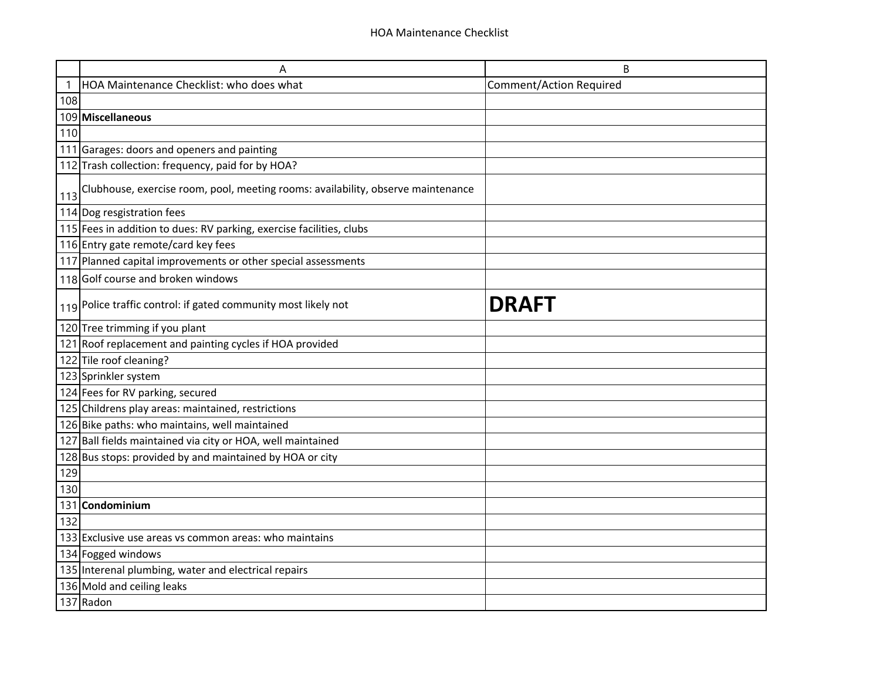|     | Α                                                                                | B                              |
|-----|----------------------------------------------------------------------------------|--------------------------------|
|     | HOA Maintenance Checklist: who does what                                         | <b>Comment/Action Required</b> |
| 108 |                                                                                  |                                |
|     | 109 Miscellaneous                                                                |                                |
| 110 |                                                                                  |                                |
|     | 111 Garages: doors and openers and painting                                      |                                |
|     | 112 Trash collection: frequency, paid for by HOA?                                |                                |
| 113 | Clubhouse, exercise room, pool, meeting rooms: availability, observe maintenance |                                |
|     | 114 Dog resgistration fees                                                       |                                |
|     | 115 Fees in addition to dues: RV parking, exercise facilities, clubs             |                                |
|     | 116 Entry gate remote/card key fees                                              |                                |
|     | 117 Planned capital improvements or other special assessments                    |                                |
|     | 118 Golf course and broken windows                                               |                                |
|     | 119 Police traffic control: if gated community most likely not                   | <b>DRAFT</b>                   |
|     | 120 Tree trimming if you plant                                                   |                                |
|     | 121 Roof replacement and painting cycles if HOA provided                         |                                |
|     | 122 Tile roof cleaning?                                                          |                                |
|     | 123 Sprinkler system                                                             |                                |
|     | 124 Fees for RV parking, secured                                                 |                                |
|     | 125 Childrens play areas: maintained, restrictions                               |                                |
|     | 126 Bike paths: who maintains, well maintained                                   |                                |
|     | 127 Ball fields maintained via city or HOA, well maintained                      |                                |
|     | 128 Bus stops: provided by and maintained by HOA or city                         |                                |
| 129 |                                                                                  |                                |
| 130 |                                                                                  |                                |
| 131 | Condominium                                                                      |                                |
| 132 |                                                                                  |                                |
|     | 133 Exclusive use areas vs common areas: who maintains                           |                                |
|     | 134 Fogged windows                                                               |                                |
|     | 135 Interenal plumbing, water and electrical repairs                             |                                |
|     | 136 Mold and ceiling leaks                                                       |                                |
|     | 137 Radon                                                                        |                                |